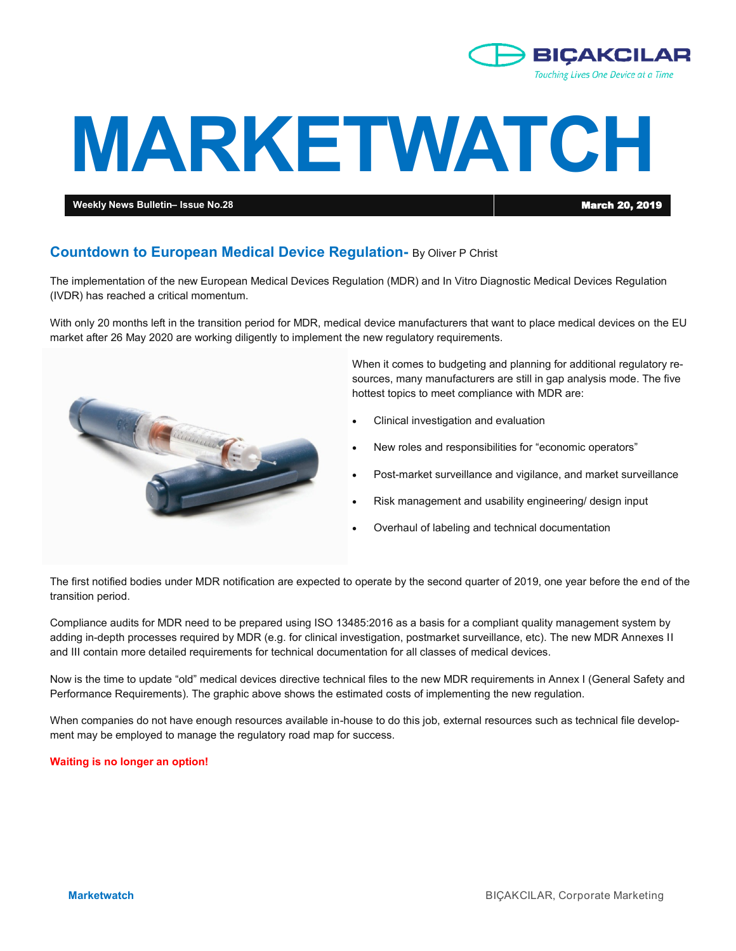

# **MARKETWATCH**

**Weekly News Bulletin– Issue No.28** March 20, 2019

# **Countdown to European Medical Device Regulation-** By Oliver P Christ

The implementation of the new European Medical Devices Regulation (MDR) and In Vitro Diagnostic Medical Devices Regulation (IVDR) has reached a critical momentum.

With only 20 months left in the transition period for MDR, medical device manufacturers that want to place medical devices on the EU market after 26 May 2020 are working diligently to implement the new regulatory requirements.



When it comes to budgeting and planning for additional regulatory resources, many manufacturers are still in gap analysis mode. The five hottest topics to meet compliance with MDR are:

- Clinical investigation and evaluation
- New roles and responsibilities for "economic operators"
- Post-market surveillance and vigilance, and market surveillance
- Risk management and usability engineering/ design input
- Overhaul of labeling and technical documentation

The first notified bodies under MDR notification are expected to operate by the second quarter of 2019, one year before the end of the transition period.

Compliance audits for MDR need to be prepared using ISO 13485:2016 as a basis for a compliant quality management system by adding in-depth processes required by MDR (e.g. for clinical investigation, postmarket surveillance, etc). The new MDR Annexes II and III contain more detailed requirements for technical documentation for all classes of medical devices.

Now is the time to update "old" medical devices directive technical files to the new MDR requirements in Annex I (General Safety and Performance Requirements). The graphic above shows the estimated costs of implementing the new regulation.

When companies do not have enough resources available in-house to do this job, external resources such as technical file development may be employed to manage the regulatory road map for success.

**Waiting is no longer an option!**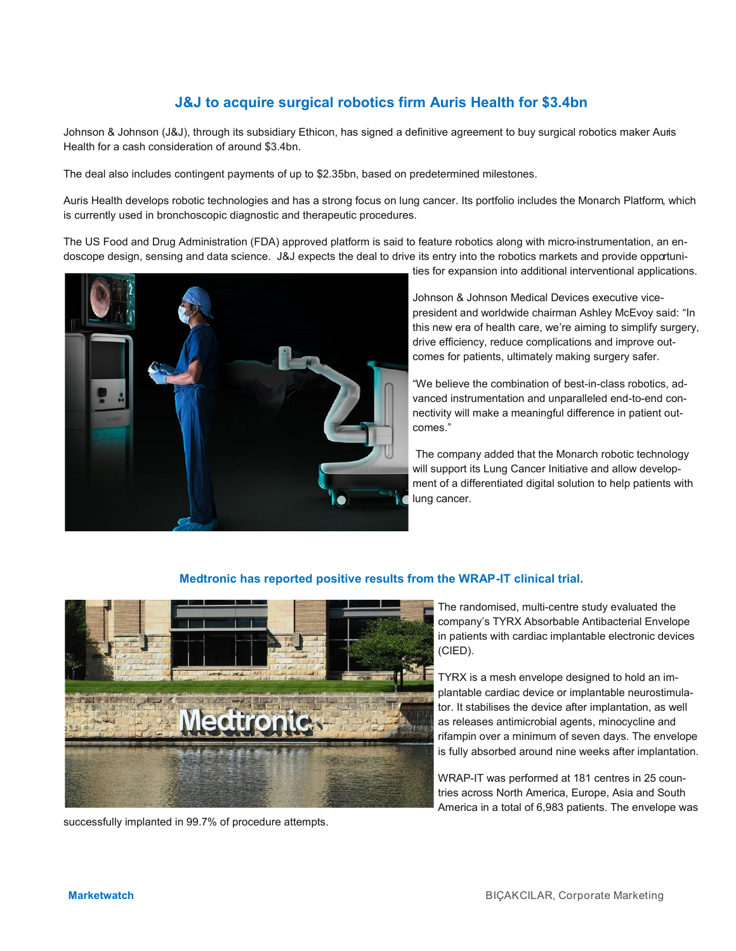# **J&J to acquire surgical robotics firm Auris Health for \$3.4bn**

Johnson & Johnson (J&J), through its subsidiary Ethicon, has signed a definitive agreement to buy surgical robotics maker Auris Health for a cash consideration of around \$3.4bn.

The deal also includes contingent payments of up to \$2.35bn, based on predetermined milestones.

Auris Health develops robotic technologies and has a strong focus on lung cancer. Its portfolio includes the Monarch Platform, which is currently used in bronchoscopic diagnostic and therapeutic procedures.

The US Food and Drug Administration (FDA) approved platform is said to feature robotics along with micro-instrumentation, an endoscope design, sensing and data science. J&J expects the deal to drive its entry into the robotics markets and provide opportuni-



Johnson & Johnson Medical Devices executive vicepresident and worldwide chairman Ashley McEvoy said: "In this new era of health care, we're aiming to simplify surgery, drive efficiency, reduce complications and improve outcomes for patients, ultimately making surgery safer.

"We believe the combination of best-in-class robotics, advanced instrumentation and unparalleled end-to-end connectivity will make a meaningful difference in patient outcomes."

The company added that the Monarch robotic technology will support its Lung Cancer Initiative and allow development of a differentiated digital solution to help patients with lung cancer.

# **Medtronic has reported positive results from the WRAP-IT clinical trial.**



successfully implanted in 99.7% of procedure attempts.

The randomised, multi-centre study evaluated the company's TYRX Absorbable Antibacterial Envelope in patients with cardiac implantable electronic devices (CIED).

TYRX is a mesh envelope designed to hold an implantable cardiac device or implantable neurostimulator. It stabilises the device after implantation, as well as releases antimicrobial agents, minocycline and rifampin over a minimum of seven days. The envelope is fully absorbed around nine weeks after implantation.

WRAP-IT was performed at 181 centres in 25 countries across North America, Europe, Asia and South America in a total of 6,983 patients. The envelope was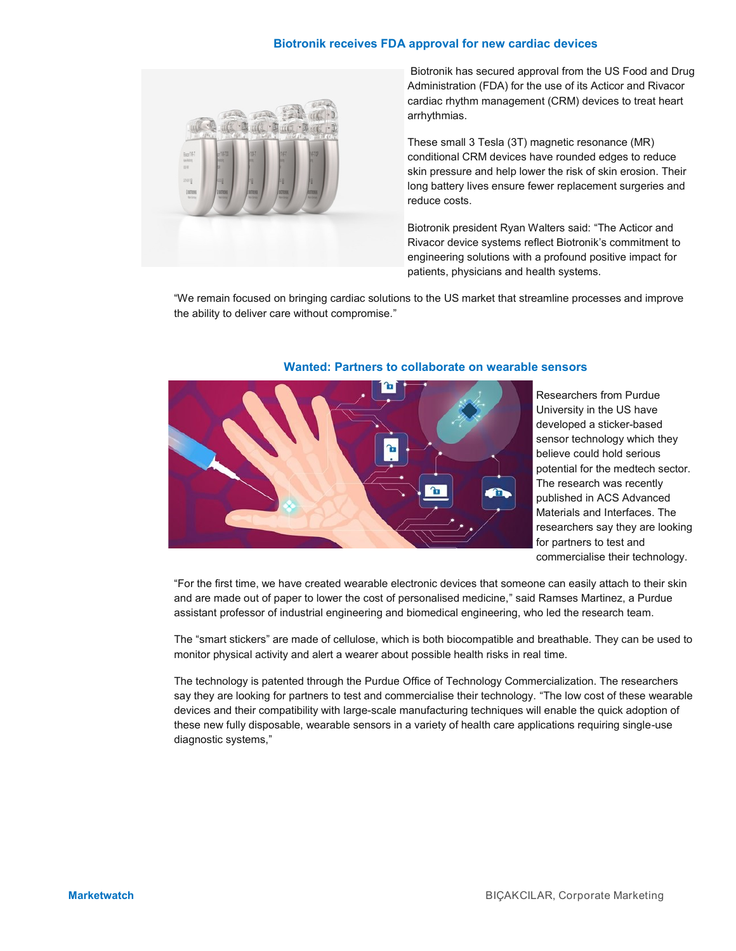# **Biotronik receives FDA approval for new cardiac devices**



Biotronik has secured approval from the US Food and Drug Administration (FDA) for the use of its Acticor and Rivacor cardiac rhythm management (CRM) devices to treat heart arrhythmias.

These small 3 Tesla (3T) magnetic resonance (MR) conditional CRM devices have rounded edges to reduce skin pressure and help lower the risk of skin erosion. Their long battery lives ensure fewer replacement surgeries and reduce costs.

Biotronik president Ryan Walters said: "The Acticor and Rivacor device systems reflect Biotronik's commitment to engineering solutions with a profound positive impact for patients, physicians and health systems.

"We remain focused on bringing cardiac solutions to the US market that streamline processes and improve the ability to deliver care without compromise."



### **Wanted: Partners to collaborate on wearable sensors**

Researchers from Purdue University in the US have developed a sticker-based sensor technology which they believe could hold serious potential for the medtech sector. The research was recently published in ACS Advanced Materials and Interfaces. The researchers say they are looking for partners to test and commercialise their technology.

"For the first time, we have created wearable electronic devices that someone can easily attach to their skin and are made out of paper to lower the cost of personalised medicine," said Ramses Martinez, a Purdue assistant professor of industrial engineering and biomedical engineering, who led the research team.

The "smart stickers" are made of cellulose, which is both biocompatible and breathable. They can be used to monitor physical activity and alert a wearer about possible health risks in real time.

The technology is patented through the Purdue Office of Technology Commercialization. The researchers say they are looking for partners to test and commercialise their technology. "The low cost of these wearable devices and their compatibility with large-scale manufacturing techniques will enable the quick adoption of these new fully disposable, wearable sensors in a variety of health care applications requiring single-use diagnostic systems,"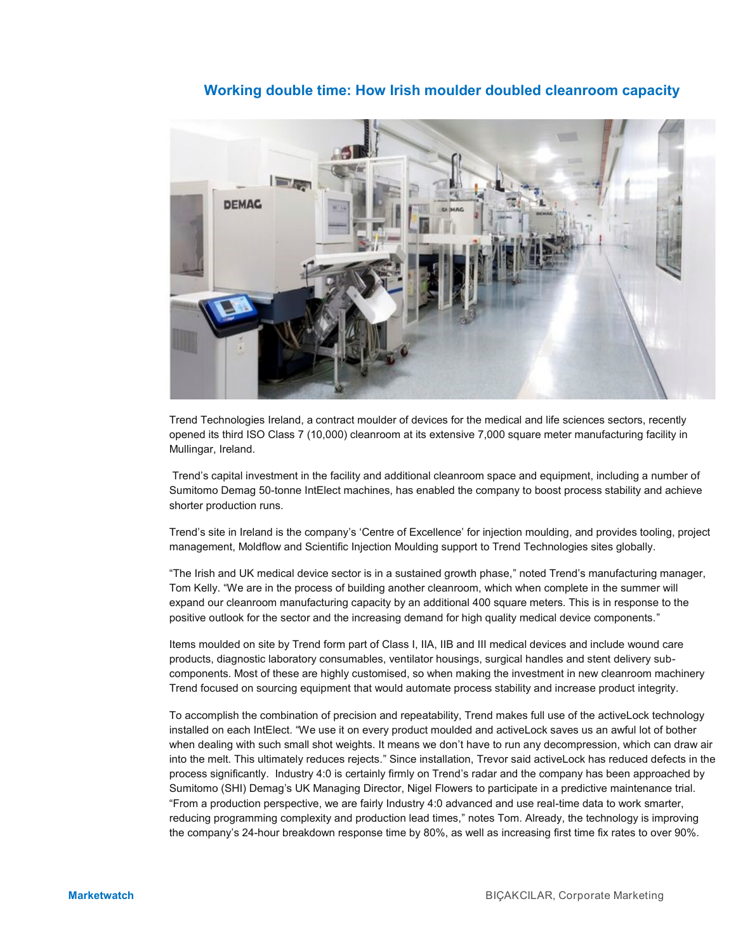# **Working double time: How Irish moulder doubled cleanroom capacity**



Trend Technologies Ireland, a contract moulder of devices for the medical and life sciences sectors, recently opened its third ISO Class 7 (10,000) cleanroom at its extensive 7,000 square meter manufacturing facility in Mullingar, Ireland.

Trend's capital investment in the facility and additional cleanroom space and equipment, including a number of Sumitomo Demag 50-tonne IntElect machines, has enabled the company to boost process stability and achieve shorter production runs.

Trend's site in Ireland is the company's 'Centre of Excellence' for injection moulding, and provides tooling, project management, Moldflow and Scientific Injection Moulding support to Trend Technologies sites globally.

"The Irish and UK medical device sector is in a sustained growth phase," noted Trend's manufacturing manager, Tom Kelly. "We are in the process of building another cleanroom, which when complete in the summer will expand our cleanroom manufacturing capacity by an additional 400 square meters. This is in response to the positive outlook for the sector and the increasing demand for high quality medical device components."

Items moulded on site by Trend form part of Class I, IIA, IIB and III medical devices and include wound care products, diagnostic laboratory consumables, ventilator housings, surgical handles and stent delivery subcomponents. Most of these are highly customised, so when making the investment in new cleanroom machinery Trend focused on sourcing equipment that would automate process stability and increase product integrity.

To accomplish the combination of precision and repeatability, Trend makes full use of the activeLock technology installed on each IntElect. "We use it on every product moulded and activeLock saves us an awful lot of bother when dealing with such small shot weights. It means we don't have to run any decompression, which can draw air into the melt. This ultimately reduces rejects." Since installation, Trevor said activeLock has reduced defects in the process significantly. Industry 4:0 is certainly firmly on Trend's radar and the company has been approached by Sumitomo (SHI) Demag's UK Managing Director, Nigel Flowers to participate in a predictive maintenance trial. "From a production perspective, we are fairly Industry 4:0 advanced and use real-time data to work smarter, reducing programming complexity and production lead times," notes Tom. Already, the technology is improving the company's 24-hour breakdown response time by 80%, as well as increasing first time fix rates to over 90%.